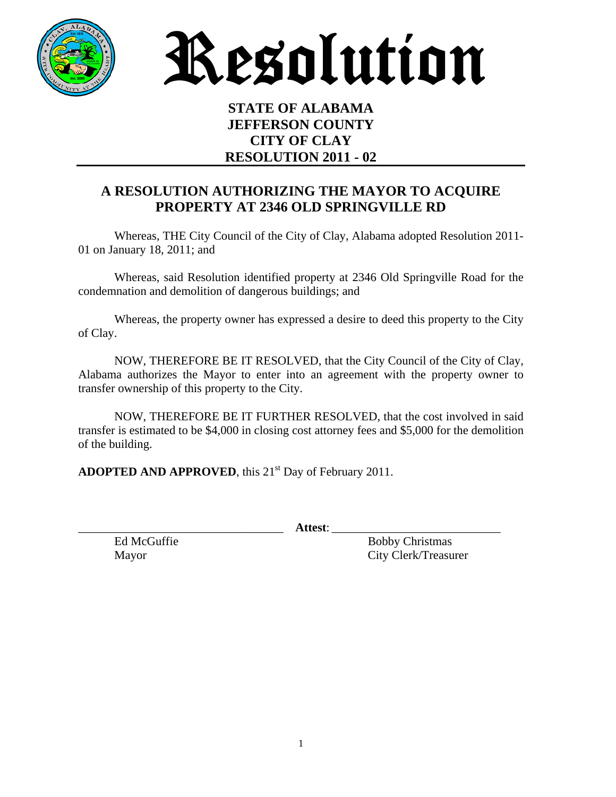

Resolution

## **STATE OF ALABAMA JEFFERSON COUNTY CITY OF CLAY RESOLUTION 2011 - 02**

## **A RESOLUTION AUTHORIZING THE MAYOR TO ACQUIRE PROPERTY AT 2346 OLD SPRINGVILLE RD**

 Whereas, THE City Council of the City of Clay, Alabama adopted Resolution 2011- 01 on January 18, 2011; and

 Whereas, said Resolution identified property at 2346 Old Springville Road for the condemnation and demolition of dangerous buildings; and

 Whereas, the property owner has expressed a desire to deed this property to the City of Clay.

 NOW, THEREFORE BE IT RESOLVED, that the City Council of the City of Clay, Alabama authorizes the Mayor to enter into an agreement with the property owner to transfer ownership of this property to the City.

 NOW, THEREFORE BE IT FURTHER RESOLVED, that the cost involved in said transfer is estimated to be \$4,000 in closing cost attorney fees and \$5,000 for the demolition of the building.

**ADOPTED AND APPROVED**, this 21<sup>st</sup> Day of February 2011.

\_\_\_\_\_\_\_\_\_\_\_\_\_\_\_\_\_\_\_\_\_\_\_\_\_\_\_\_\_\_\_\_\_\_ **Attest**: \_\_\_\_\_\_\_\_\_\_\_\_\_\_\_\_\_\_\_\_\_\_\_\_\_\_\_\_

Ed McGuffie Bobby Christmas Mayor City Clerk/Treasurer